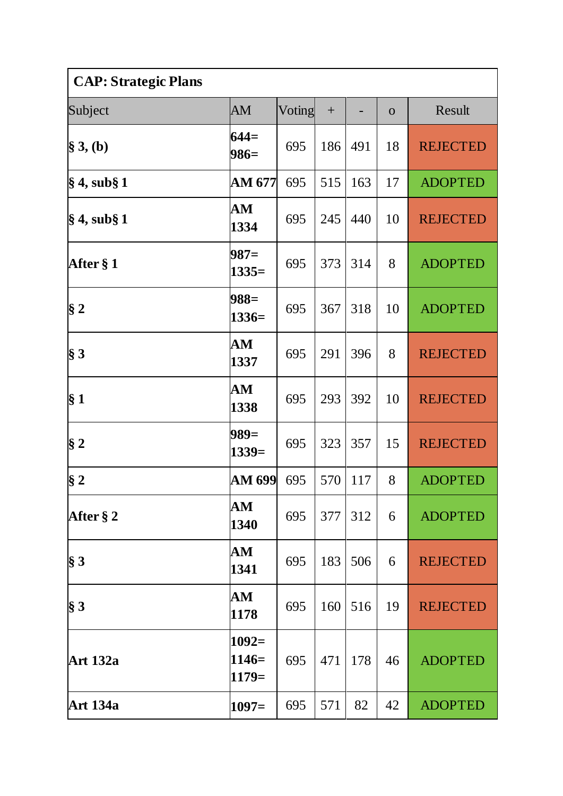| <b>CAP: Strategic Plans</b> |                                |        |     |     |                |                 |  |
|-----------------------------|--------------------------------|--------|-----|-----|----------------|-----------------|--|
| Subject                     | AM                             | Voting | $+$ |     | $\overline{O}$ | Result          |  |
| $\S 3, (b)$                 | $644=$<br>$986=$               | 695    | 186 | 491 | 18             | <b>REJECTED</b> |  |
| § 4, sub§ 1                 | AM 677                         | 695    | 515 | 163 | 17             | <b>ADOPTED</b>  |  |
| $\S 4$ , sub $\S 1$         | ${\bf AM}$<br>1334             | 695    | 245 | 440 | 10             | <b>REJECTED</b> |  |
| After § 1                   | $987=$<br>$1335=$              | 695    | 373 | 314 | 8              | <b>ADOPTED</b>  |  |
| $\S 2$                      | $988=$<br>$1336=$              | 695    | 367 | 318 | 10             | <b>ADOPTED</b>  |  |
| $\S 3$                      | ${\bf AM}$<br>1337             | 695    | 291 | 396 | 8              | <b>REJECTED</b> |  |
| $\S 1$                      | ${\bf AM}$<br>1338             | 695    | 293 | 392 | 10             | <b>REJECTED</b> |  |
| $§$ 2                       | $989=$<br>$1339=$              | 695    | 323 | 357 | 15             | <b>REJECTED</b> |  |
| §2                          | AM 699                         | 695    | 570 | 117 | 8              | <b>ADOPTED</b>  |  |
| After § 2                   | AM<br>1340                     | 695    | 377 | 312 | 6              | <b>ADOPTED</b>  |  |
| $§$ 3                       | $\mathbf{A}\mathbf{M}$<br>1341 | 695    | 183 | 506 | 6              | <b>REJECTED</b> |  |
| $\S 3$                      | AM<br>1178                     | 695    | 160 | 516 | 19             | <b>REJECTED</b> |  |
| <b>Art 132a</b>             | $1092=$<br>$1146=$<br>$1179=$  | 695    | 471 | 178 | 46             | <b>ADOPTED</b>  |  |
| <b>Art 134a</b>             | $1097=$                        | 695    | 571 | 82  | 42             | <b>ADOPTED</b>  |  |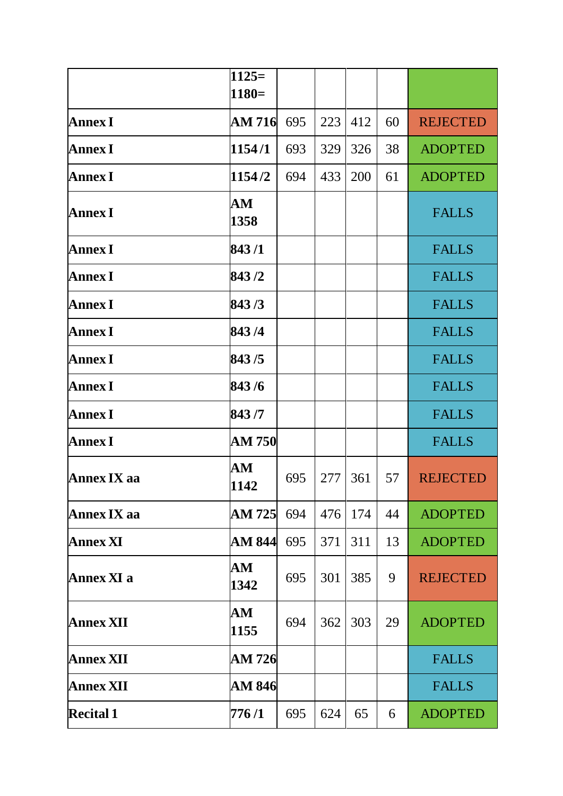|                    | $1125=$            |     |     |     |    |                 |
|--------------------|--------------------|-----|-----|-----|----|-----------------|
|                    | $1180=$            |     |     |     |    |                 |
| <b>Annex I</b>     | <b>AM 716</b>      | 695 | 223 | 412 | 60 | <b>REJECTED</b> |
| <b>Annex I</b>     | 1154/1             | 693 | 329 | 326 | 38 | <b>ADOPTED</b>  |
| <b>Annex I</b>     | 1154/2             | 694 | 433 | 200 | 61 | <b>ADOPTED</b>  |
| <b>Annex I</b>     | ${\bf AM}$<br>1358 |     |     |     |    | <b>FALLS</b>    |
| <b>Annex I</b>     | 843/1              |     |     |     |    | <b>FALLS</b>    |
| <b>Annex I</b>     | 843/2              |     |     |     |    | <b>FALLS</b>    |
| <b>Annex I</b>     | 843/3              |     |     |     |    | <b>FALLS</b>    |
| <b>Annex I</b>     | 843/4              |     |     |     |    | <b>FALLS</b>    |
| <b>Annex I</b>     | 843/5              |     |     |     |    | <b>FALLS</b>    |
| <b>Annex I</b>     | 843/6              |     |     |     |    | <b>FALLS</b>    |
| <b>Annex I</b>     | 843/7              |     |     |     |    | <b>FALLS</b>    |
| <b>Annex I</b>     | <b>AM 750</b>      |     |     |     |    | <b>FALLS</b>    |
| <b>Annex IX aa</b> | ${\bf AM}$<br>1142 | 695 | 277 | 361 | 57 | <b>REJECTED</b> |
| <b>Annex IX aa</b> | AM 725             | 694 | 476 | 174 | 44 | <b>ADOPTED</b>  |
| <b>Annex XI</b>    | AM 844             | 695 | 371 | 311 | 13 | <b>ADOPTED</b>  |
| Annex XI a         | ${\bf AM}$<br>1342 | 695 | 301 | 385 | 9  | <b>REJECTED</b> |
| <b>Annex XII</b>   | AM<br>1155         | 694 | 362 | 303 | 29 | <b>ADOPTED</b>  |
| <b>Annex XII</b>   | AM 726             |     |     |     |    | <b>FALLS</b>    |
| <b>Annex XII</b>   | AM 846             |     |     |     |    | <b>FALLS</b>    |
| <b>Recital 1</b>   | 776 /1             | 695 | 624 | 65  | 6  | <b>ADOPTED</b>  |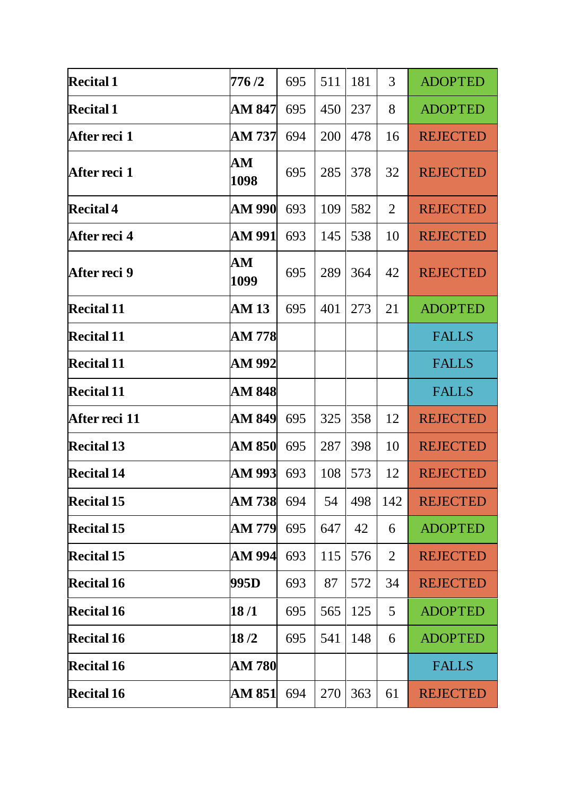| <b>Recital 1</b>  | 776 /2             | 695 | 511 | 181 | 3              | <b>ADOPTED</b>  |
|-------------------|--------------------|-----|-----|-----|----------------|-----------------|
| <b>Recital 1</b>  | AM 847             | 695 | 450 | 237 | 8              | <b>ADOPTED</b>  |
| After reci 1      | AM 737             | 694 | 200 | 478 | 16             | <b>REJECTED</b> |
| After reci 1      | ${\bf AM}$<br>1098 | 695 | 285 | 378 | 32             | <b>REJECTED</b> |
| <b>Recital 4</b>  | AM 990             | 693 | 109 | 582 | $\overline{2}$ | <b>REJECTED</b> |
| After reci 4      | AM 991             | 693 | 145 | 538 | 10             | <b>REJECTED</b> |
| After reci 9      | ${\bf AM}$<br>1099 | 695 | 289 | 364 | 42             | <b>REJECTED</b> |
| <b>Recital 11</b> | AM 13              | 695 | 401 | 273 | 21             | <b>ADOPTED</b>  |
| <b>Recital 11</b> | AM 778             |     |     |     |                | <b>FALLS</b>    |
| <b>Recital 11</b> | AM 992             |     |     |     |                | <b>FALLS</b>    |
|                   | AM 848             |     |     |     |                | <b>FALLS</b>    |
| <b>Recital 11</b> |                    |     |     |     |                |                 |
| After reci 11     | AM 849             | 695 | 325 | 358 | 12             | <b>REJECTED</b> |
| <b>Recital 13</b> | AM 850             | 695 | 287 | 398 | 10             | <b>REJECTED</b> |
| <b>Recital 14</b> | AM 993             | 693 | 108 | 573 | 12             | <b>REJECTED</b> |
| <b>Recital 15</b> | AM 738             | 694 | 54  | 498 | 142            | <b>REJECTED</b> |
| <b>Recital 15</b> | AM 779             | 695 | 647 | 42  | 6              | <b>ADOPTED</b>  |
| <b>Recital 15</b> | AM 994             | 693 | 115 | 576 | $\overline{2}$ | <b>REJECTED</b> |
| <b>Recital 16</b> | 995D               | 693 | 87  | 572 | 34             | <b>REJECTED</b> |
| <b>Recital 16</b> | 18/1               | 695 | 565 | 125 | 5              | <b>ADOPTED</b>  |
| <b>Recital 16</b> | 18/2               | 695 | 541 | 148 | 6              | <b>ADOPTED</b>  |
| <b>Recital 16</b> | AM 780             |     |     |     |                | <b>FALLS</b>    |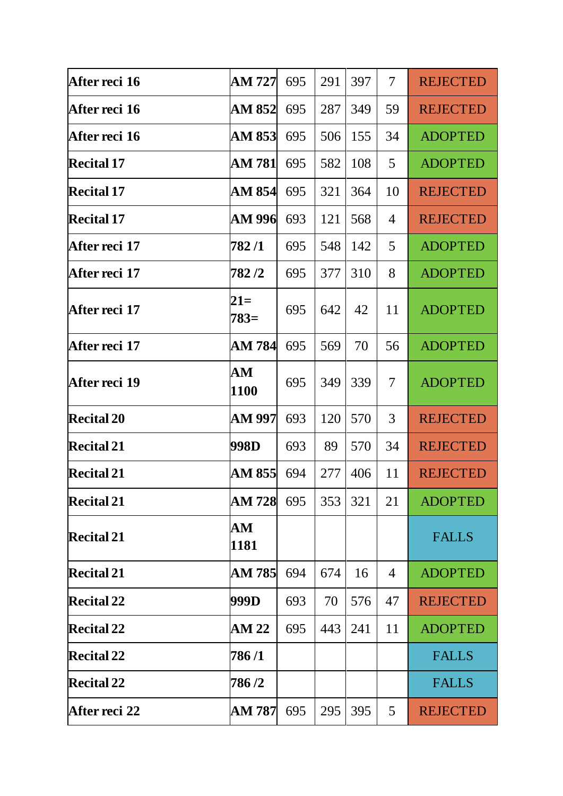| After reci 16     | AM 727             | 695 | 291 | 397 | 7              | <b>REJECTED</b> |
|-------------------|--------------------|-----|-----|-----|----------------|-----------------|
| After reci 16     | AM 852             | 695 | 287 | 349 | 59             | <b>REJECTED</b> |
| After reci 16     | AM 853             | 695 | 506 | 155 | 34             | <b>ADOPTED</b>  |
| <b>Recital 17</b> | AM 781             | 695 | 582 | 108 | 5              | <b>ADOPTED</b>  |
| <b>Recital 17</b> | AM 854             | 695 | 321 | 364 | 10             | <b>REJECTED</b> |
| <b>Recital 17</b> | AM 996             | 693 | 121 | 568 | $\overline{4}$ | <b>REJECTED</b> |
| After reci 17     | 782 /1             | 695 | 548 | 142 | 5              | <b>ADOPTED</b>  |
| After reci 17     | 782/2              | 695 | 377 | 310 | 8              | <b>ADOPTED</b>  |
| After reci 17     | $21=$<br>$783=$    | 695 | 642 | 42  | 11             | <b>ADOPTED</b>  |
| After reci 17     | AM 784             | 695 | 569 | 70  | 56             | <b>ADOPTED</b>  |
| After reci 19     | AM<br>1100         | 695 | 349 | 339 | 7              | <b>ADOPTED</b>  |
| <b>Recital 20</b> | AM 997             | 693 | 120 | 570 | 3              | <b>REJECTED</b> |
| <b>Recital 21</b> | 998D               | 693 | 89  | 570 | 34             | <b>REJECTED</b> |
| <b>Recital 21</b> | AM 855             | 694 | 277 | 406 | 11             | <b>REJECTED</b> |
| <b>Recital 21</b> | <b>AM 728</b>      | 695 | 353 | 321 | 21             | <b>ADOPTED</b>  |
| <b>Recital 21</b> | ${\bf AM}$<br>1181 |     |     |     |                | <b>FALLS</b>    |
| <b>Recital 21</b> | AM 785             | 694 | 674 | 16  | $\overline{4}$ | <b>ADOPTED</b>  |
| <b>Recital 22</b> | 999D               | 693 | 70  | 576 | 47             | <b>REJECTED</b> |
| <b>Recital 22</b> | <b>AM 22</b>       | 695 | 443 | 241 | 11             | <b>ADOPTED</b>  |
| <b>Recital 22</b> | 786 /1             |     |     |     |                | <b>FALLS</b>    |
| <b>Recital 22</b> | 786/2              |     |     |     |                | <b>FALLS</b>    |
| After reci 22     | AM 787             | 695 | 295 | 395 | 5              | <b>REJECTED</b> |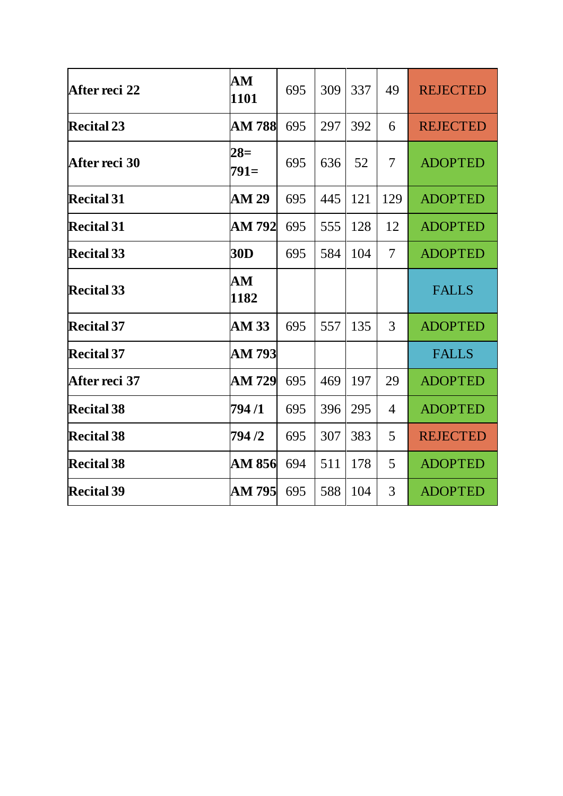| After reci 22     | AM              | 695 | 309 | 337 | 49             | <b>REJECTED</b> |
|-------------------|-----------------|-----|-----|-----|----------------|-----------------|
|                   | 1101            |     |     |     |                |                 |
| <b>Recital 23</b> | <b>AM 788</b>   | 695 | 297 | 392 | 6              | <b>REJECTED</b> |
| After reci 30     | $28=$<br>$791=$ | 695 | 636 | 52  | $\overline{7}$ | <b>ADOPTED</b>  |
| <b>Recital 31</b> | <b>AM 29</b>    | 695 | 445 | 121 | 129            | <b>ADOPTED</b>  |
| <b>Recital 31</b> | AM 792          | 695 | 555 | 128 | 12             | <b>ADOPTED</b>  |
| Recital 33        | <b>30D</b>      | 695 | 584 | 104 | $\overline{7}$ | <b>ADOPTED</b>  |
| <b>Recital 33</b> | AM<br>1182      |     |     |     |                | <b>FALLS</b>    |
| <b>Recital 37</b> | <b>AM 33</b>    | 695 | 557 | 135 | 3              | <b>ADOPTED</b>  |
| Recital 37        | AM 793          |     |     |     |                | <b>FALLS</b>    |
| After reci 37     | AM 729          | 695 | 469 | 197 | 29             | <b>ADOPTED</b>  |
| <b>Recital 38</b> | 794 /1          | 695 | 396 | 295 | $\overline{4}$ | <b>ADOPTED</b>  |
| <b>Recital 38</b> | 794 /2          | 695 | 307 | 383 | 5              | <b>REJECTED</b> |
| <b>Recital 38</b> | AM 856          | 694 | 511 | 178 | 5              | <b>ADOPTED</b>  |
| <b>Recital 39</b> | AM 795          | 695 | 588 | 104 | 3              | <b>ADOPTED</b>  |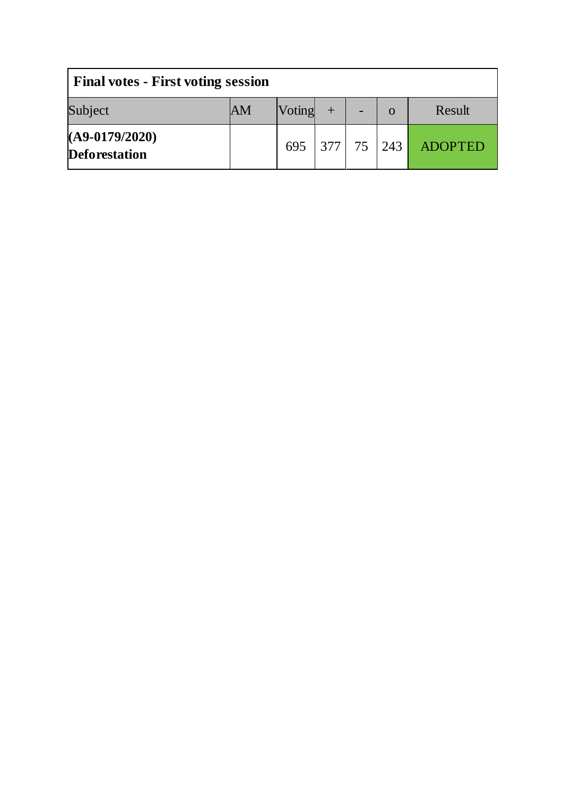| <b>Final votes - First voting session</b> |    |                |  |  |          |         |
|-------------------------------------------|----|----------------|--|--|----------|---------|
| Subject                                   | AM | Voting         |  |  | $\Omega$ | Result  |
| $(A9-0179/2020)$<br><b>Deforestation</b>  |    | 695 377 75 243 |  |  |          | ADOPTED |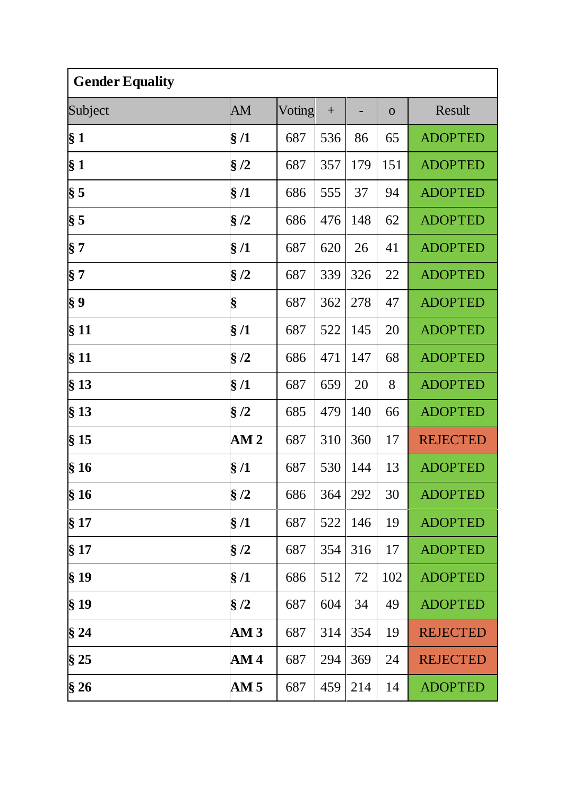| <b>Gender Equality</b> |                 |        |     |     |              |                 |  |
|------------------------|-----------------|--------|-----|-----|--------------|-----------------|--|
| Subject                | AM              | Voting | $+$ |     | $\mathbf{O}$ | Result          |  |
| § 1                    | §/1             | 687    | 536 | 86  | 65           | <b>ADOPTED</b>  |  |
| § <sub>1</sub>         | $\S/2$          | 687    | 357 | 179 | 151          | <b>ADOPTED</b>  |  |
| $\S 5$                 | $\S/1$          | 686    | 555 | 37  | 94           | <b>ADOPTED</b>  |  |
| $\$ {5}                | $\S/2$          | 686    | 476 | 148 | 62           | <b>ADOPTED</b>  |  |
| $\S 7$                 | §/1             | 687    | 620 | 26  | 41           | <b>ADOPTED</b>  |  |
| $\S 7$                 | $\S/2$          | 687    | 339 | 326 | 22           | <b>ADOPTED</b>  |  |
| $\S 9$                 | §               | 687    | 362 | 278 | 47           | <b>ADOPTED</b>  |  |
| §11                    | §/1             | 687    | 522 | 145 | 20           | <b>ADOPTED</b>  |  |
| § 11                   | $\S/2$          | 686    | 471 | 147 | 68           | <b>ADOPTED</b>  |  |
| $§$ 13                 | §/1             | 687    | 659 | 20  | 8            | <b>ADOPTED</b>  |  |
| $§$ 13                 | §/2             | 685    | 479 | 140 | 66           | <b>ADOPTED</b>  |  |
| $§$ 15                 | AM <sub>2</sub> | 687    | 310 | 360 | 17           | <b>REJECTED</b> |  |
| §16                    | §/1             | 687    | 530 | 144 | 13           | <b>ADOPTED</b>  |  |
| $\frac{1}{3}$ 16       | §/2             | 686    | 364 | 292 | 30           | <b>ADOPTED</b>  |  |
| § 17                   | $\S/1$          | 687    | 522 | 146 | 19           | <b>ADOPTED</b>  |  |
| § 17                   | $\S/2$          | 687    | 354 | 316 | 17           | <b>ADOPTED</b>  |  |
| §19                    | $\S/1$          | 686    | 512 | 72  | 102          | <b>ADOPTED</b>  |  |
| $§$ 19                 | $\S/2$          | 687    | 604 | 34  | 49           | <b>ADOPTED</b>  |  |
| §24                    | AM3             | 687    | 314 | 354 | 19           | <b>REJECTED</b> |  |
| §25                    | AM <sub>4</sub> | 687    | 294 | 369 | 24           | <b>REJECTED</b> |  |
| §26                    | AM <sub>5</sub> | 687    | 459 | 214 | 14           | <b>ADOPTED</b>  |  |